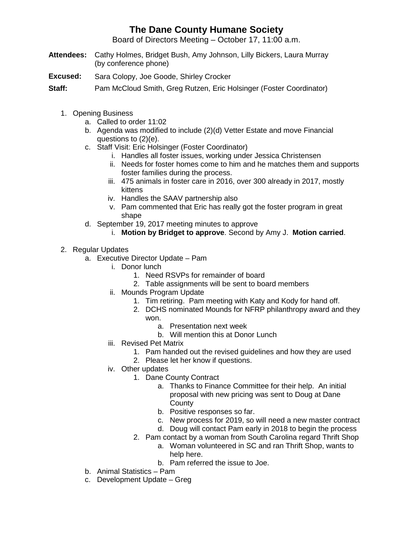## **The Dane County Humane Society**

Board of Directors Meeting – October 17, 11:00 a.m.

- **Attendees:** Cathy Holmes, Bridget Bush, Amy Johnson, Lilly Bickers, Laura Murray (by conference phone)
- **Excused:** Sara Colopy, Joe Goode, Shirley Crocker

**Staff:** Pam McCloud Smith, Greg Rutzen, Eric Holsinger (Foster Coordinator)

- 1. Opening Business
	- a. Called to order 11:02
	- b. Agenda was modified to include (2)(d) Vetter Estate and move Financial questions to (2)(e).
	- c. Staff Visit: Eric Holsinger (Foster Coordinator)
		- i. Handles all foster issues, working under Jessica Christensen
		- ii. Needs for foster homes come to him and he matches them and supports foster families during the process.
		- iii. 475 animals in foster care in 2016, over 300 already in 2017, mostly kittens
		- iv. Handles the SAAV partnership also
		- v. Pam commented that Eric has really got the foster program in great shape
	- d. September 19, 2017 meeting minutes to approve
		- i. **Motion by Bridget to approve**. Second by Amy J. **Motion carried**.
- 2. Regular Updates
	- a. Executive Director Update Pam
		- i. Donor lunch
			- 1. Need RSVPs for remainder of board
			- 2. Table assignments will be sent to board members
		- ii. Mounds Program Update
			- 1. Tim retiring. Pam meeting with Katy and Kody for hand off.
			- 2. DCHS nominated Mounds for NFRP philanthropy award and they won.
				- a. Presentation next week
				- b. Will mention this at Donor Lunch
		- iii. Revised Pet Matrix
			- 1. Pam handed out the revised guidelines and how they are used
			- 2. Please let her know if questions.
		- iv. Other updates
			- 1. Dane County Contract
				- a. Thanks to Finance Committee for their help. An initial proposal with new pricing was sent to Doug at Dane **County**
				- b. Positive responses so far.
				- c. New process for 2019, so will need a new master contract
				- d. Doug will contact Pam early in 2018 to begin the process
			- 2. Pam contact by a woman from South Carolina regard Thrift Shop
				- a. Woman volunteered in SC and ran Thrift Shop, wants to help here.
				- b. Pam referred the issue to Joe.
	- b. Animal Statistics Pam
	- c. Development Update Greg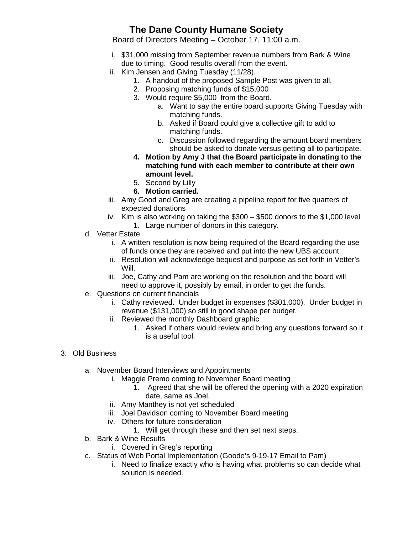## **The Dane County Humane Society**

Board of Directors Meeting – October 17, 11:00 a.m.

- i. \$31,000 missing from September revenue numbers from Bark & Wine due to timing. Good results overall from the event.
- ii. Kim Jensen and Giving Tuesday (11/28).
	- 1. A handout of the proposed Sample Post was given to all.
	- 2. Proposing matching funds of \$15,000
	- 3. Would require \$5,000 from the Board.
		- a. Want to say the entire board supports Giving Tuesday with matching funds.
		- b. Asked if Board could give a collective gift to add to matching funds.
		- c. Discussion followed regarding the amount board members should be asked to donate versus getting all to participate.
	- **4. Motion by Amy J that the Board participate in donating to the matching fund with each member to contribute at their own amount level.**
	- 5. Second by Lilly
	- **6. Motion carried.**
- iii. Amy Good and Greg are creating a pipeline report for five quarters of expected donations
- iv. Kim is also working on taking the \$300 \$500 donors to the \$1,000 level 1. Large number of donors in this category.
- d. Vetter Estate
	- i. A written resolution is now being required of the Board regarding the use of funds once they are received and put into the new UBS account.
	- ii. Resolution will acknowledge bequest and purpose as set forth in Vetter's Will.
	- iii. Joe, Cathy and Pam are working on the resolution and the board will need to approve it, possibly by email, in order to get the funds.
- e. Questions on current financials
	- i. Cathy reviewed. Under budget in expenses (\$301,000). Under budget in revenue (\$131,000) so still in good shape per budget.
	- ii. Reviewed the monthly Dashboard graphic
		- 1. Asked if others would review and bring any questions forward so it is a useful tool.
- 3. Old Business
	- a. November Board Interviews and Appointments
		- i. Maggie Premo coming to November Board meeting
			- 1. Agreed that she will be offered the opening with a 2020 expiration date, same as Joel.
		- ii. Amy Manthey is not yet scheduled
		- iii. Joel Davidson coming to November Board meeting
		- iv. Others for future consideration
			- 1. Will get through these and then set next steps.
	- b. Bark & Wine Results
		- i. Covered in Greg's reporting
	- c. Status of Web Portal Implementation (Goode's 9-19-17 Email to Pam)
		- i. Need to finalize exactly who is having what problems so can decide what solution is needed.